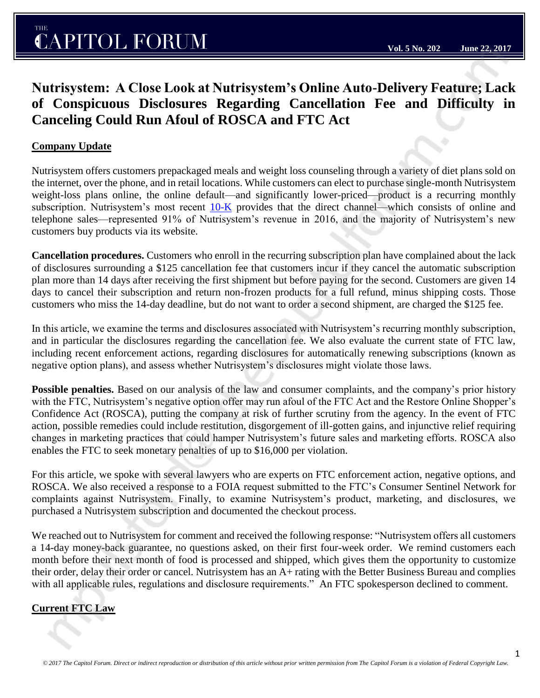# **Nutrisystem: A Close Look at Nutrisystem's Online Auto-Delivery Feature; Lack of Conspicuous Disclosures Regarding Cancellation Fee and Difficulty in Canceling Could Run Afoul of ROSCA and FTC Act**

### **Company Update**

Nutrisystem offers customers prepackaged meals and weight loss counseling through a variety of diet plans sold on the internet, over the phone, and in retail locations. While customers can elect to purchase single-month Nutrisystem weight-loss plans online, the online default—and significantly lower-priced—product is a recurring monthly subscription. Nutrisystem's most recent  $10-K$  provides that the direct channel—which consists of online and telephone sales—represented 91% of Nutrisystem's revenue in 2016, and the majority of Nutrisystem's new customers buy products via its website.

**Cancellation procedures.** Customers who enroll in the recurring subscription plan have complained about the lack of disclosures surrounding a \$125 cancellation fee that customers incur if they cancel the automatic subscription plan more than 14 days after receiving the first shipment but before paying for the second. Customers are given 14 days to cancel their subscription and return non-frozen products for a full refund, minus shipping costs. Those customers who miss the 14-day deadline, but do not want to order a second shipment, are charged the \$125 fee.

In this article, we examine the terms and disclosures associated with Nutrisystem's recurring monthly subscription, and in particular the disclosures regarding the cancellation fee. We also evaluate the current state of FTC law, including recent enforcement actions, regarding disclosures for automatically renewing subscriptions (known as negative option plans), and assess whether Nutrisystem's disclosures might violate those laws.

**Possible penalties.** Based on our analysis of the law and consumer complaints, and the company's prior history with the FTC, Nutrisystem's negative option offer may run afoul of the FTC Act and the Restore Online Shopper's Confidence Act (ROSCA), putting the company at risk of further scrutiny from the agency. In the event of FTC action, possible remedies could include restitution, disgorgement of ill-gotten gains, and injunctive relief requiring changes in marketing practices that could hamper Nutrisystem's future sales and marketing efforts. ROSCA also enables the FTC to seek monetary penalties of up to \$16,000 per violation.

For this article, we spoke with several lawyers who are experts on FTC enforcement action, negative options, and ROSCA. We also received a response to a FOIA request submitted to the FTC's Consumer Sentinel Network for complaints against Nutrisystem. Finally, to examine Nutrisystem's product, marketing, and disclosures, we purchased a Nutrisystem subscription and documented the checkout process.

We reached out to Nutrisystem for comment and received the following response: "Nutrisystem offers all customers a 14-day money-back guarantee, no questions asked, on their first four-week order. We remind customers each month before their next month of food is processed and shipped, which gives them the opportunity to customize their order, delay their order or cancel. Nutrisystem has an A+ rating with the Better Business Bureau and complies with all applicable rules, regulations and disclosure requirements." An FTC spokesperson declined to comment.

## **Current FTC Law**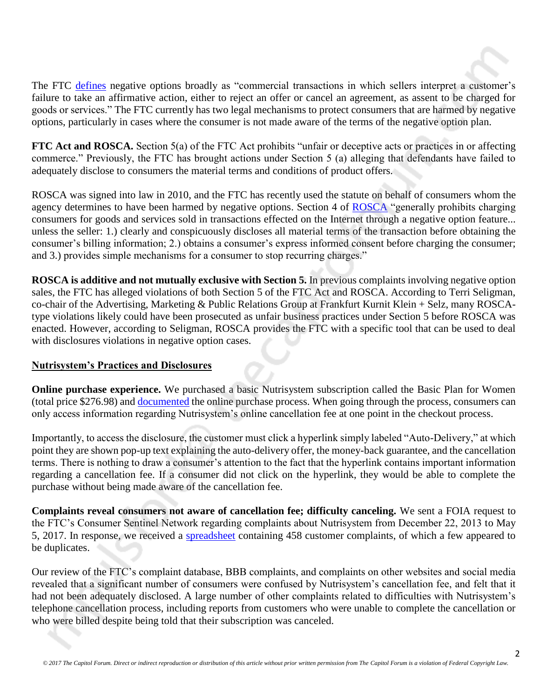

**FTC Act and ROSCA.** Section 5(a) of the FTC Act prohibits "unfair or deceptive acts or practices in or affecting commerce." Previously, the FTC has brought actions under Section 5 (a) alleging that defendants have failed to adequately disclose to consumers the material terms and conditions of product offers.

ROSCA was signed into law in 2010, and the FTC has recently used the statute on behalf of consumers whom the agency determines to have been harmed by negative options. Section 4 of [ROSCA](https://www.ftc.gov/system/files/documents/statutes/restore-online-shoppers-confidence-act/online-shoppers-enrolled.pdf) "generally prohibits charging consumers for goods and services sold in transactions effected on the Internet through a negative option feature... unless the seller: 1.) clearly and conspicuously discloses all material terms of the transaction before obtaining the consumer's billing information; 2.) obtains a consumer's express informed consent before charging the consumer; and 3.) provides simple mechanisms for a consumer to stop recurring charges."

**ROSCA is additive and not mutually exclusive with Section 5.** In previous complaints involving negative option sales, the FTC has alleged violations of both Section 5 of the FTC Act and ROSCA. According to Terri Seligman, co-chair of the Advertising, Marketing & Public Relations Group at Frankfurt Kurnit Klein + Selz, many ROSCAtype violations likely could have been prosecuted as unfair business practices under Section 5 before ROSCA was enacted. However, according to Seligman, ROSCA provides the FTC with a specific tool that can be used to deal with disclosures violations in negative option cases.

#### **Nutrisystem's Practices and Disclosures**

**Online purchase experience.** We purchased a basic Nutrisystem subscription called the Basic Plan for Women (total price \$276.98) and [documented](https://thecapitolforum.watchdox.com/ngdox/workspaces/123287/Nutrisystem%202017%7CNutrisystem%20Disclosure/) the online purchase process. When going through the process, consumers can only access information regarding Nutrisystem's online cancellation fee at one point in the checkout process.

Importantly, to access the disclosure, the customer must click a hyperlink simply labeled "Auto-Delivery," at which point they are shown pop-up text explaining the auto-delivery offer, the money-back guarantee, and the cancellation terms. There is nothing to draw a consumer's attention to the fact that the hyperlink contains important information regarding a cancellation fee. If a consumer did not click on the hyperlink, they would be able to complete the purchase without being made aware of the cancellation fee.

**Complaints reveal consumers not aware of cancellation fee; difficulty canceling.** We sent a FOIA request to the FTC's Consumer Sentinel Network regarding complaints about Nutrisystem from December 22, 2013 to May 5, 2017. In response, we received a [spreadsheet](https://thecapitolforum.watchdox.com/ngdox/viewer/2c7321e2-8726-44f0-a00b-d90cbd61a5ab/) containing 458 customer complaints, of which a few appeared to be duplicates.

Our review of the FTC's complaint database, BBB complaints, and complaints on other websites and social media revealed that a significant number of consumers were confused by Nutrisystem's cancellation fee, and felt that it had not been adequately disclosed. A large number of other complaints related to difficulties with Nutrisystem's telephone cancellation process, including reports from customers who were unable to complete the cancellation or who were billed despite being told that their subscription was canceled.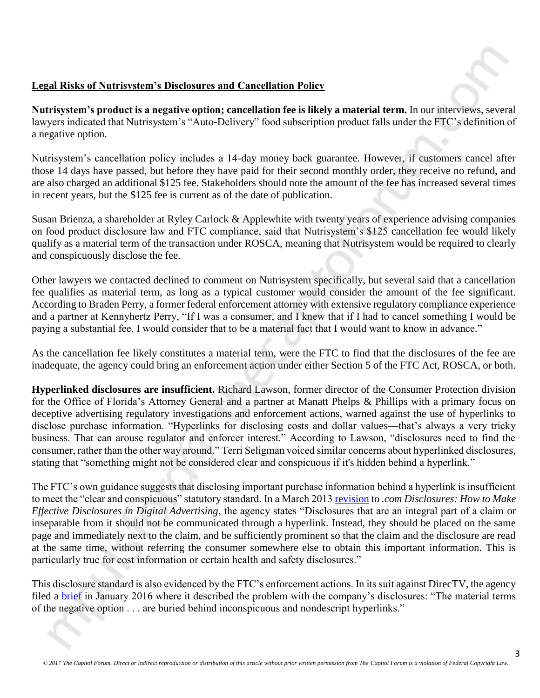## **Legal Risks of Nutrisystem's Disclosures and Cancellation Policy**

**Nutrisystem's product is a negative option; cancellation fee is likely a material term.** In our interviews, several lawyers indicated that Nutrisystem's "Auto-Delivery" food subscription product falls under the FTC's definition of a negative option.

Nutrisystem's cancellation policy includes a 14-day money back guarantee. However, if customers cancel after those 14 days have passed, but before they have paid for their second monthly order, they receive no refund, and are also charged an additional \$125 fee. Stakeholders should note the amount of the fee has increased several times in recent years, but the \$125 fee is current as of the date of publication.

Susan Brienza, a shareholder at Ryley Carlock & Applewhite with twenty years of experience advising companies on food product disclosure law and FTC compliance, said that Nutrisystem's \$125 cancellation fee would likely qualify as a material term of the transaction under ROSCA, meaning that Nutrisystem would be required to clearly and conspicuously disclose the fee.

Other lawyers we contacted declined to comment on Nutrisystem specifically, but several said that a cancellation fee qualifies as material term, as long as a typical customer would consider the amount of the fee significant. According to Braden Perry, a former federal enforcement attorney with extensive regulatory compliance experience and a partner at Kennyhertz Perry, "If I was a consumer, and I knew that if I had to cancel something I would be paying a substantial fee, I would consider that to be a material fact that I would want to know in advance."

As the cancellation fee likely constitutes a material term, were the FTC to find that the disclosures of the fee are inadequate, the agency could bring an enforcement action under either Section 5 of the FTC Act, ROSCA, or both.

**Hyperlinked disclosures are insufficient.** Richard Lawson, former director of the Consumer Protection division for the Office of Florida's Attorney General and a partner at Manatt Phelps & Phillips with a primary focus on deceptive advertising regulatory investigations and enforcement actions, warned against the use of hyperlinks to disclose purchase information. "Hyperlinks for disclosing costs and dollar values—that's always a very tricky business. That can arouse regulator and enforcer interest." According to Lawson, "disclosures need to find the consumer, rather than the other way around." Terri Seligman voiced similar concerns about hyperlinked disclosures, stating that "something might not be considered clear and conspicuous if it's hidden behind a hyperlink."

The FTC's own guidance suggests that disclosing important purchase information behind a hyperlink is insufficient to meet the "clear and conspicuous" statutory standard. In a March 2013 [revision](https://www.ftc.gov/sites/default/files/attachments/press-releases/ftc-staff-revises-online-advertising-disclosure-guidelines/130312dotcomdisclosures.pdf) to *.com Disclosures: How to Make Effective Disclosures in Digital Advertising*, the agency states "Disclosures that are an integral part of a claim or inseparable from it should not be communicated through a hyperlink. Instead, they should be placed on the same page and immediately next to the claim, and be sufficiently prominent so that the claim and the disclosure are read at the same time, without referring the consumer somewhere else to obtain this important information. This is particularly true for cost information or certain health and safety disclosures."

This disclosure standard is also evidenced by the FTC's enforcement actions. In its suit against DirecTV, the agency filed a [brief](https://thecapitolforum.watchdox.com/ngdox/viewer/4f29e68f-8a1c-4460-a3c7-5b4733e100aa/) in January 2016 where it described the problem with the company's disclosures: "The material terms of the negative option . . . are buried behind inconspicuous and nondescript hyperlinks."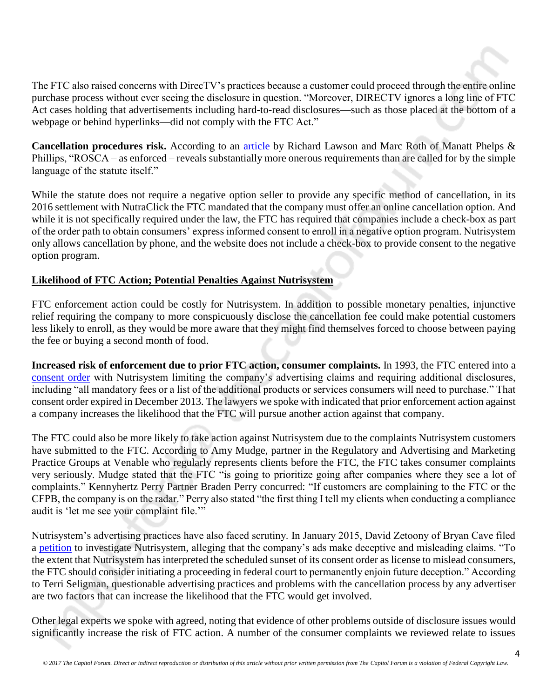The FTC also raised concerns with DirecTV's practices because a customer could proceed through the entire online purchase process without ever seeing the disclosure in question. "Moreover, DIRECTV ignores a long line of FTC Act cases holding that advertisements including hard-to-read disclosures—such as those placed at the bottom of a webpage or behind hyperlinks—did not comply with the FTC Act."

**Cancellation procedures risk.** According to an [article](http://www.responsemagazine.com/drma/tale-two-statutes-rosca-written-and-rosca-enforced-9761) by Richard Lawson and Marc Roth of Manatt Phelps & Phillips, "ROSCA – as enforced – reveals substantially more onerous requirements than are called for by the simple language of the statute itself."

While the statute does not require a negative option seller to provide any specific method of cancellation, in its 2016 settlement with NutraClick the FTC mandated that the company must offer an online cancellation option. And while it is not specifically required under the law, the FTC has required that companies include a check-box as part of the order path to obtain consumers' express informed consent to enroll in a negative option program. Nutrisystem only allows cancellation by phone, and the website does not include a check-box to provide consent to the negative option program.

## **Likelihood of FTC Action; Potential Penalties Against Nutrisystem**

FTC enforcement action could be costly for Nutrisystem. In addition to possible monetary penalties, injunctive relief requiring the company to more conspicuously disclose the cancellation fee could make potential customers less likely to enroll, as they would be more aware that they might find themselves forced to choose between paying the fee or buying a second month of food.

**Increased risk of enforcement due to prior FTC action, consumer complaints.** In 1993, the FTC entered into a [consent order](https://www.ftc.gov/sites/default/files/documents/commission_decision_volumes/volume-116/ftc_volume_decision_116_january_-_december_1993pages_1408-1483.pdf) with Nutrisystem limiting the company's advertising claims and requiring additional disclosures, including "all mandatory fees or a list of the additional products or services consumers will need to purchase." That consent order expired in December 2013. The lawyers we spoke with indicated that prior enforcement action against a company increases the likelihood that the FTC will pursue another action against that company.

The FTC could also be more likely to take action against Nutrisystem due to the complaints Nutrisystem customers have submitted to the FTC. According to Amy Mudge, partner in the Regulatory and Advertising and Marketing Practice Groups at Venable who regularly represents clients before the FTC, the FTC takes consumer complaints very seriously. Mudge stated that the FTC "is going to prioritize going after companies where they see a lot of complaints." Kennyhertz Perry Partner Braden Perry concurred: "If customers are complaining to the FTC or the CFPB, the company is on the radar." Perry also stated "the first thing I tell my clients when conducting a compliance audit is 'let me see your complaint file.'"

Nutrisystem's advertising practices have also faced scrutiny. In January 2015, David Zetoony of Bryan Cave filed a [petition](https://www.truthinadvertising.org/wp-content/uploads/2015/05/Nutrisystem-petition.pdf) to investigate Nutrisystem, alleging that the company's ads make deceptive and misleading claims. "To the extent that Nutrisystem has interpreted the scheduled sunset of its consent order as license to mislead consumers, the FTC should consider initiating a proceeding in federal court to permanently enjoin future deception." According to Terri Seligman, questionable advertising practices and problems with the cancellation process by any advertiser are two factors that can increase the likelihood that the FTC would get involved.

Other legal experts we spoke with agreed, noting that evidence of other problems outside of disclosure issues would significantly increase the risk of FTC action. A number of the consumer complaints we reviewed relate to issues